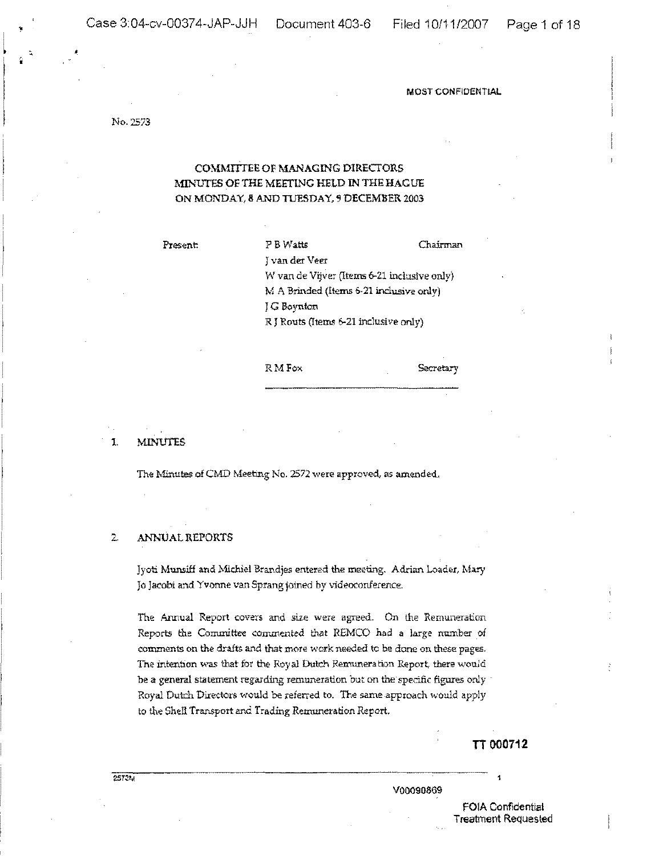No. 2573

# COMMITTEE OF MANAGING DIRECTORS MINUTES OF THE MEETING HELD IN THE HAGUE ON MONDAY, 8 AND TIJESDAY, 9 DECEMBER 2003

Present: P B Watts Chairman Jvan der Veer W van de Vijver (Items 6-21 inclusive only) M A Brinded (Items 6-21 inclusive only) lG Boynton R J Routs (Items 6-21 inclusive only)

RMFox Secretary

1. MINUTES

The Minutes of CMD Meeting No. 2572 were approved, as amended,

## 2. ANNUAL REPORTS

Jyoti Munsiff and Michiel Brandjes entered the meeting. Adrian Loader, Mary Jo Jacobi and Yvonne van Sprang joined by videoconference.

The Annual Report covers and sire were agreed. On the Remuneration Reports the Committee commented that REMCO had a large number of comments on the drafts and that more work needed to be done on these pages. The intention was that for the Royal Dutch Remuneration Report, there would be a general statement regarding remuneration but on the specific figures only  $\,$ Royal Dutch Directors would be referred to. The same approach would apply to the Shell Transport and Trading Remuneration Report.

TT 000712

VOOO90869

F01A Confidential Treatment Requested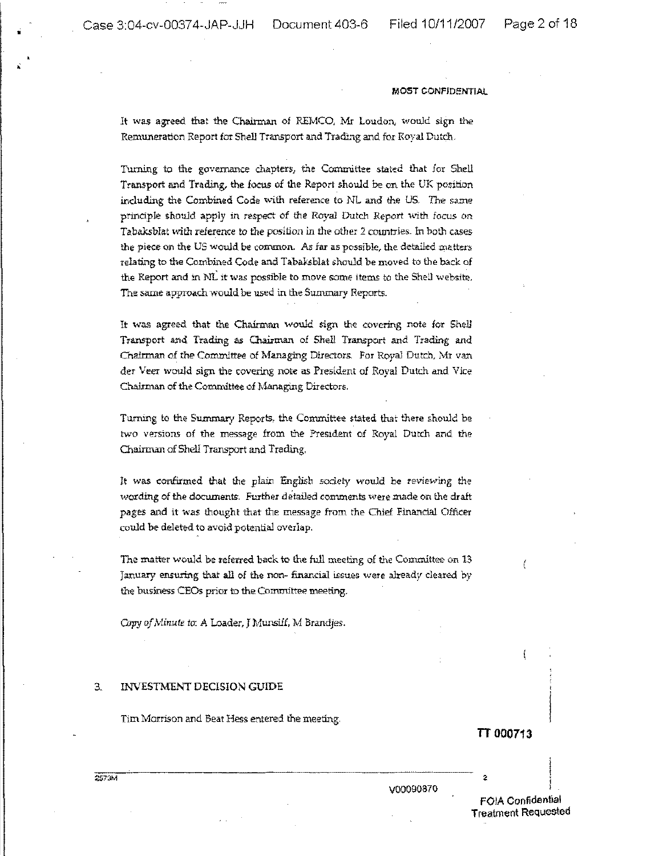Case 3:04-cv-00374-JAP-JJH Document 403-6 Filed 10/11/2007

•

,

#### MOST CONFIDENTiAl

It was agreed that the Chairman of REMCO. Mr Loudon, would sign the Remuneration Report for Shell Transport and Trading and for Royal Dutch,

Turning to the governance chapters, the Committee stated that for Shell Transport and Trading, the focus of the Report should be on the UK position including the Combined Code with reference to NL and the US. The same principle should apply in respect of the Royal Dutch Report with focus on Tabaksblat with reference to the position in the other 2 countries\_ In both cases the piece on the US would be common. As far as possible, the detailed matters relating to the Combined Code and Tabaksblat should be moved to the back of the Report and in NL it was possible to move some items to the Shell website. The same approach would be used in the Summary Reports.

It was agreed that the Chairman would sign the covering note for Shell Transport and Trading as Chairman of Shell Transport and Trading and Chairman of the Committee of Managing Directors. For Royal Dutch, Mr van der Veer would sign the covering note as President of Royal Dutch and Vice Chairman of the Committee of Managing Directors.

Turning to the Summary Reports, the Committee stated that there should be two versions of the message from the President of Royal Dutch and the Chairman of Shell Transport and Trading.

It was confirmed that the plain English society would be reviewing the wording of the documents. Further detailed comments were made on the draft pages and it was thought that the message from the Chief Financial Officer could be deleted to avoid potential overlap.

The matter would be referred back to the full meeting of the Committee on 13 January ensuring that all of the non- financial issues were already cleared by the business CEOs prior to the Committee meeting.

Copy of Minute to: A Loader, J Munsiff, M Brandjes.

# 3, INVESTMENT DECISION GUIDE

Tim Morrison and Beat Hess entered the meeting,

TT 000713

,

2573M

VOOO90870

F01A Confidential Treatment Requested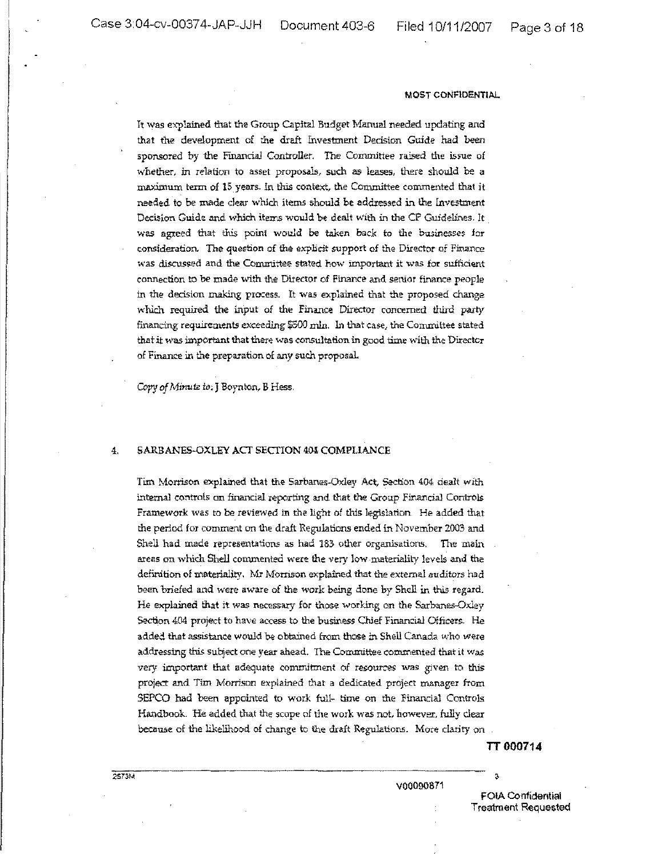It was explained that the Group Capital Budget Manual needed updating and that the development of the draft Investment Decision Guide had been sponsored by the Financial Controller. The Committee raised the issue of whether, in relation to asset proposals, such as leases, there should be a maximum term of 15 years. In this context, the Committee commented that it needed to be made clear which items should be addressed in the Investment Decision Guide and which items would be dealt with in the CP Guidelines. It was agreed that this point would be taken back to the businesses for consideration. The question of the explicit support of the Director of Finance was discussed and the Committee stated how important it was for sufficient connection to be made with the Director of Finance and senior finance people in the decision making process. It was explained that the proposed change which required the input of the Finance Director concerned third party financing requirements exceeding \$500 min. In that case, the Committee stated that it was important that there was consultation in good time with the Director of Finance in the preparation of any such proposal.

*Copy of Minute io*; J Boynton, B Hess.

#### 4. SARBANES-OXLEY ACT SECTION 404 COMPLIANCE

Tim Morrison explained that the Sarbanes-Oxley Act, Section 404 dealt with internal controls on financial reporting and that the Group Financial Controls Framework was to be reviewed in the light of this legislation He added that the period for comment on the draft Regulations ended in November 2003 and Shell had made representations as had 183 other organisations. The main areas on which Shell commented were the very low materiality levels and the definition of materiality. Mr Morrison explained that the external auditors had been briefed and *were* aware of the work being done by Shell ir, this regard. He explained that it was necessary for those working on the Sarbanes-Oxley Section 404 project to have access to the business Chief Financial Officers. He added that assistance would be obtained from those in Shell Canada who were addressing this subject one year ahead. The Committee commented that it was very important that adequate commitment of resources was given to this project and Tim Morrison explained that a dedicated project manager from SEPCO had been appointed to work full- time on the Financial Controls Handbook. He added that the scope of the work was not, however, fully clear because of the likelihood of change to the draft Regulations. More clarity on

TT 000714

,

V00090871

FOtA Ccrnfidential Treatment Requested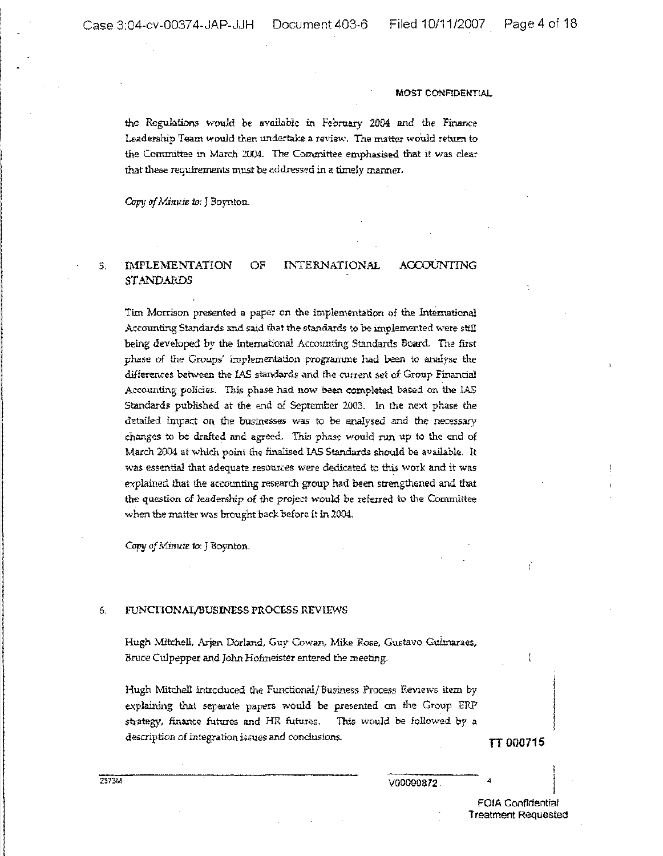the Regulations vrould be available in February 2DD4 and the Finance Leadership Team would then undertake a review. The matter would return to the Committee in March 2004. The Committee emphasised that it was dear that these requirements must be addressed in a timely manner.

Copy of Minute to: J Boynton.

#### 5. IMPLEMENTATION OF **STANDARDS** INTERNATIONAL ACCOUNTING

Tim Morrison presented a paper on the implementation of the lntemational Accounting Standards and said that the standards to be implemented were still being developed by the International Accounting Standards Board. The first phase of the Groups' implementation programme had been to analyse the differences between the IAS standards and the current set of Group Financial Accounting policies. This phase had now been completed based on the IAS Standards published at the end of September 2003. In the next phase the detailed impact on the businesses was to be analysed and the necessary changes to be drafted and agreed. This phase would run up to the end of March 2004 at which point the finalised IAS Standards should be available. It was essential that adequate resources were dedicated to this work and it was explained that the accounting research group had been strengthened and that the question of leadership of the project would be referred to the Committee when the matter was brought back before it in 2004.

Copy of Minute to: J Boynton.

## 6. FUNCfIONAI/BUSINESS PROCESS REVIEWS

Hugh Mitchell, Arjen Dorland, Guy Cowan, Mike Rose, Gustavo Guimaraes, Bruce Culpepper and John Hofmeister entered the meeting.

Hugh Mitchell introduced the Functional/Business Process Reviews item by explaining that separate papers would be presented on the Group ERr' strategy, finance futures and HR futures. This would be followed by a description of integration issues and conclusions. **TT 000715**

I

2STOM

V00090872

**FOIA** Confidential Treatment Requested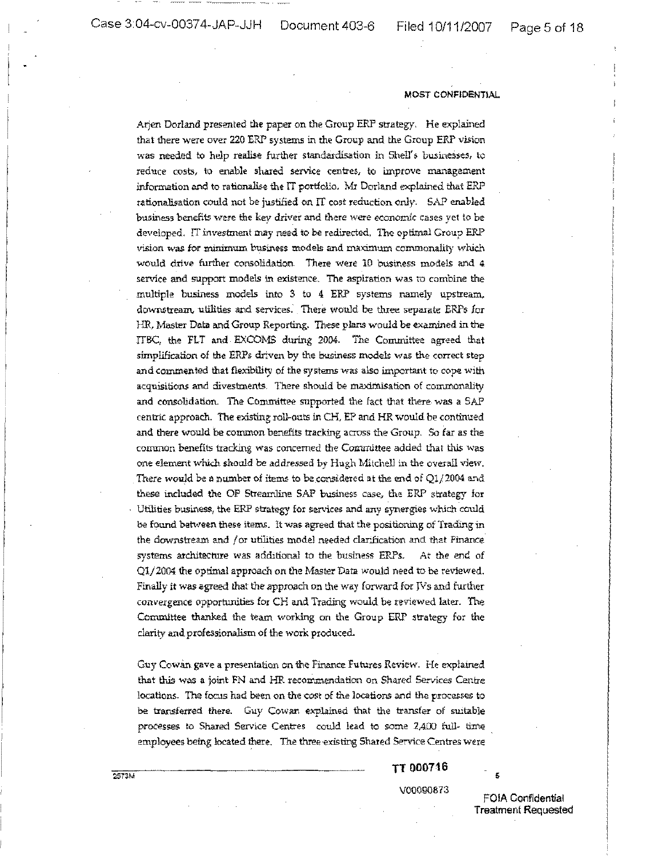Arjen Dorland presented the paper on the Group ERP strategy. He explained that there were over 220 ERP systems in the Group and the Group ERP vision was needed to help realise further standardisation in Shell's businesses, to reduce costs, to enable shared service centres, to improve management information and to rationalise the IT portfolio. Mr Dorland explained that ERP rationalisation could not be justified on IT cost reduction only. SAP enabled business benefits were the key driver and there were economic cases yet to be developed. IT investment may need to be redirected. The optimal Group ERP vision was for minimum business models and maximum commonality which would drive further consolidation. There were 10 business models and 4 service and support models in existence, The aspiration was to combine the multiple business models into 3 to 4 ERP systems namely upstream. downstream, utilities and services. There would be three separate ERPs for HR, Master Data and Group Reporting. These plans would be examined in the ITBC, the FLT and EXCOMS during 2004. The Committee agreed that simplification of the ERPs driven by the business models was the correct step and commented that flexibility of the systems was also important to cope with acquisitions and divestments. There should be maximisation of commonality and consolidation. The Committee supported the fact that there- was a SAP centric approach. The existing roll~oul:s in CH, EP and HR would be continued and there would be common benefits tracking across the Group. So far as the common benefits tracking was concerned the Committee added that this was one element which should be addressed by Hugh Mitchell in the overall view. There would be a number of items to be considered at the end of  $Q1/2004$  and these included the OP Streamline SAP business case, the ERP strategy for Utilities business, the ERP strategy for services and any synergies which could be found between these items. It was agreed that the positioning of Trading in the downstream and /or utilities model needed clarification and that Finance systems architecture was additional to the business ERPs. At the end of *Qlj2004* the optimal approach on the Master Data would need to be reviewed. Finally it was agreed that the approach on the way forward for  $Ns$  and further convergence opportunities for CH and Trading would be reviewed later. The Committee thanked the team working an the Group ERP strategy for the clarity and professionalism of the work produced.

Guy Cowan gave a presentation on the Finance Futures Review. He explained that this was a joint FN and HR recommendation on Shared Services Centre locations. The focus had been on the cost of the locations and the processes to be transferred there. Guy Cowan explained that the transfer of suitable processes to Shared Service Centres could lead to some 2,400 full- time employees being located there. The three-existing Shared Service Centres were

TT 000716

V00090873

FOIA Confidential Treatment Requested

,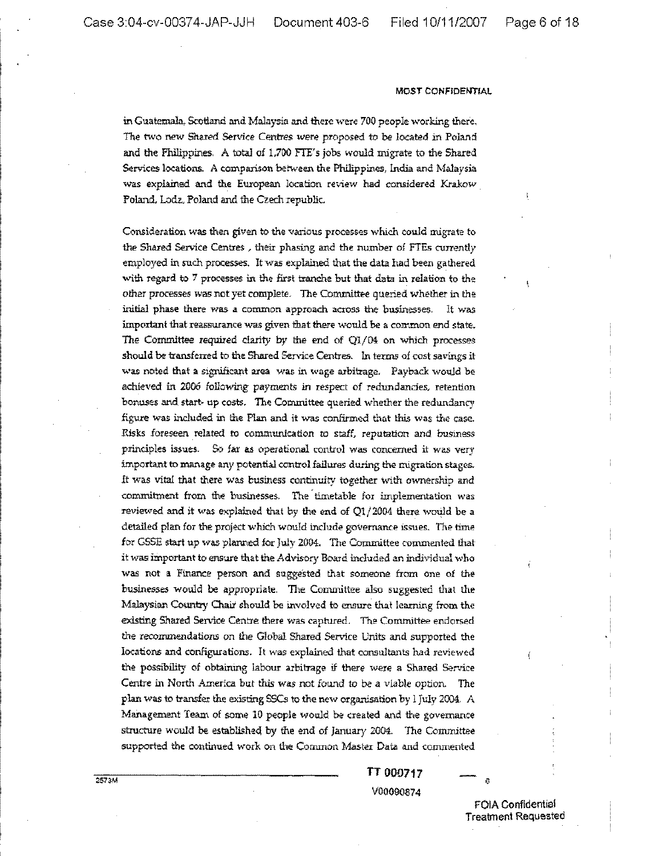in Guatemala, Scctland and Malaysia and there were 700 people working there, The two new Shared Service Centres were proposed to be located in Poland and the Philippines, A total of 1,700 FIT's jobs would migrate to the Shared Services locations. A comparison between the Philippines, India and Malaysia was explained and the European location review had considered Krakow Poland. Lodz, Poland and the Czech republic

Consideration was then given to the various processes which could migrate to the Shared Service Centres; their phasing and the number *oi* FTEs cunently employed in such processes. It was explained that the data had been gathered with regard to 7 processes in the first tranche but that data in relation to the other processes was not yet complete. The Committee queried whether in the initial phase there was a common approach across the businesses. It was important that reassurance was given that there would be a common end state. The Committee required clarity by the end of Q1/04 on which processes should be transferred to the Shared Service Centres. In terms of cost savings it was noted that a significant area was in wage arbitrage. Payback would be achieved in 2006 following- payments in respect of redundancies, retention bonuses and start~ up costs. The Committee queried whether the redundancy figure was included in the Plan and it was confirmed that this was the case. Risks foreseen related to communication to staff, reputation and business principles issues. So far as operational control was concerned it was very important to manage any potential control failures during the migration stages. It was vital that there was business continuity together with ownership and commitment from the businesses. The'timetable for implementation was reviewed and it was explained that by the end of Ql/2004 there would be a detailed plan for the project which would include governance issues. The time for GSSE start up was planned for July 2004. The Committee commented that it was important to ensure that the Advisory Board included an individual who was not a Finance person and suggested that someone from one of the businesses would be appropriate. The Committee also suggested that the Malaysian Country Chair should be involved to ensure that learning from the existing Shared Service Centre there was captured. The Committee endorsed the recommendations on the Global Shared Service Units and supported the locations and configurations. It was explained that consultants had reviewed the possibility of obtaining labour arbitrage if there were a Shared Service Centre in North America but this was not found to be a viable option. The plan was to transfer the existing SSCs to the new organisation by 1July 2004. A Management Team of some 10 people would be <reated and the governance Structure would be established; by the end of January 2004. The *Committee* supported the continued work on the Common Master Data and commented

> TT 000717 V00090874

> > FOIA Confidential Treatment Requested

Ä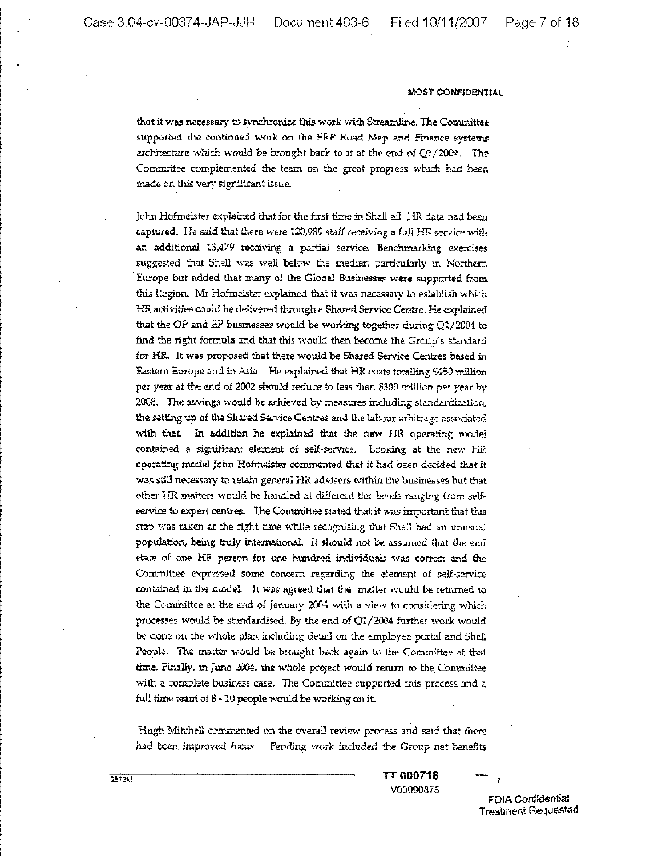# MOST CONFtDENTtAL

that it was necessary to synchronize this work with Streamline, The Committee supported the continued work on the ERP Road Map and Finance *systems* architecture which would be brought back to it at the end of Q1/2004. The Committee complemented the team on the great progress which had been made on this very significant issue.

John Hofmeister explained that for the first time in Shell all HR data had been captured. He said that there were 120,989 staff receiving a full HR service with an additional 13,479 receiving a partial service. Benchmarking exercises suggested that Shell was well below the median particularly in Northern Europe but added that many of the Global Businesses were supported from this Region. Mr Hofmeister explained that it was necessary to establish which HR activities could be delivered through a Shared Service Centre, He explained that the OP and BP businesses would be working together during Q1/2004 to find the right formula and that this would then become the Group's standard for HR. It was proposed that there would be Shared Service Centres based in Eastern Europe and in Asia. He explained that HR costs totalling \$450 million per *year* at the end of 2002 should reduce to less than \$300 million per year by 2008. The savings would be achieved by measures including standardization. the setting up of the Shared Service Centres and the labour arbitrage associated with that. In addition he explained that the new HR operating model contained a significant element of self-service. Looking at the new HR operating model John Hofmeister commented that it had beer: decided that it was still necessary to retain general HR advisers within the businesses but that other HR matters would be handled at different tier levels ranging from selfservice to expert centres. The Committee stated that it was important that this step was taken at the right time while recognising that Shell had an urmsua] population, being truly international. It should not be assumed that the end state of one HR person for one hundred individuals was correct and the Committee expressed some concern regarding the element of self-service contained in the model. It was agreed that the matter would be returned to the Committee at the end of January 2004 with a view to considering which processes would be standardised. By the end of  $Q1/2004$  further work would be done on the whole plan including detail on the employee portal and Shell People. The matter would be brought back again to the Committee at that time. Finally, in June 2004, the whole project would return to the, Committee with a complete business case. The Committee supported this process and a full time team of 8 - 10 people would be working on jt.

Hugh Mitchell commented on the overall review process and said that there had been improved focus. Pending work included the Group net benefits

> TT 000718 V00090875

FOIA Confidential Treatment Requested

7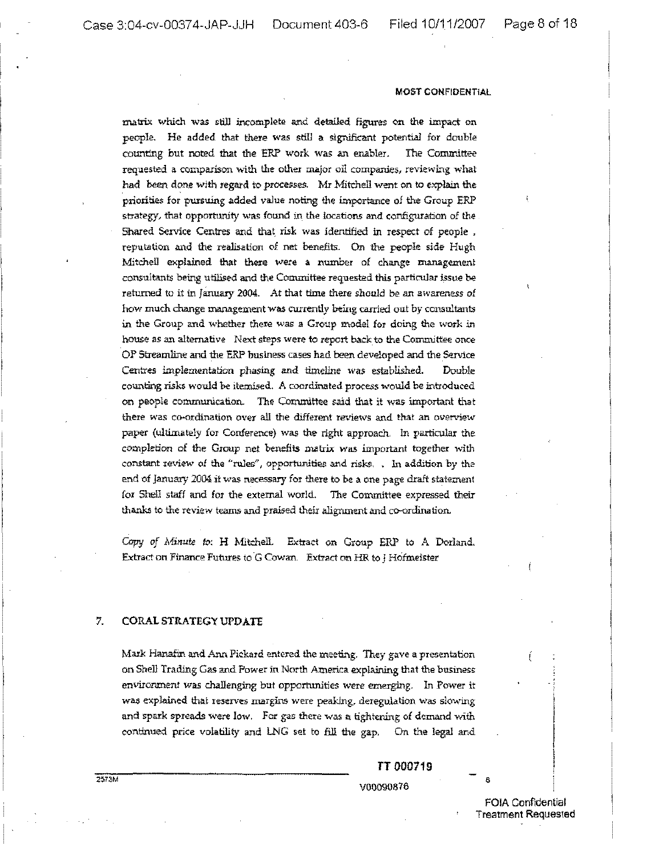matrix which was still incomplete and detailed figures on the impact on people. He added that there was still a significant potential for double counting but noted that the ERP work was an enabler. The Committee requested a comparison with the other major oil companies, reviewing what had been done with regard to processes. Mr Mitchell went on to explain the priorities for pursuing added value noting the importance of the Group ERP strategy, that opportunity was found in the locations and configuration of the Shared Service Centres and that risk was identified in respect of people , reputation and the realisation of net benefits. On the people side Hugh MitcheU explained that there wete a number of change management consultants being utilised and the Committee requested this particular issue be retumed to it in January 2004. At that time there should be an awareness of how much change management was currently being carried out by consultants in the Group and whether there was a Group model for doing the work in house as an alternative Next steps were to report back to the Committee once OP Streamline and the ERP business cases had been developed and the Service Centres implementation phasing and timeline was established. Double counting risks would be itemised. A coordinated process would be introduced on people communication. The Committee said that it was important that there was co-ordination over all the different reviews and that an overview paper (ultimately for Conference) was the right approach, In particular the completion of the Group net benefits matrix was important together with constant review of the "rules", opportunities and risks. . In addition by the end of January 2004 it was necessary for there to be a one page draft statement for Shell staff and for the external world. The Committee expressed their thanks to the review teams and praised their alignment and co-ordination.

Capy of Minute to: H Mitchell. Extract on Group ERP to A Dorland. Extract on Finance Futures to G Cowan. Extract on HR to J Hofmeister

# 7, CORAL STRATEGY UPDATE

Mark Hanafin and Ann Pickard entered the meeting. They gave a presentation on Shell Trading Gas and Power in North America explaining that the business environment was challenging but opportunities were emerging. In Power it was explained that reserves margins were peaking, deregulation was slowing and spark spreads were low. For gas there was a tightening of demand with continued price volatility and LNG set to fill the gap. On the legal and

# TT 000719 VOQQ90876 ,

FOIA Confidential Treatment Requested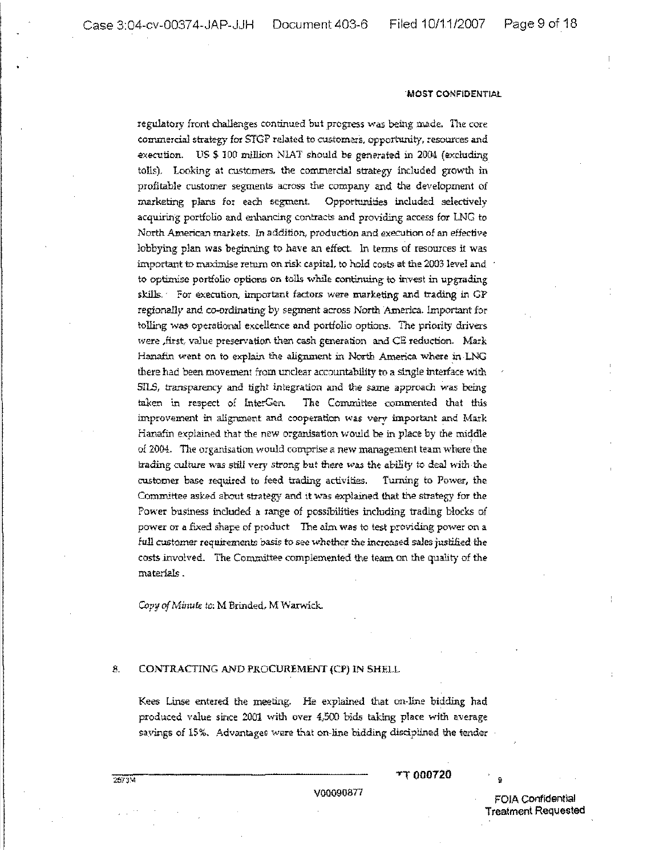#### -MOST CONFIDENTiAl

regulatory front challenges continued but progress was being made. The core commercia1 strategy for STGP related to customers, opportunity, resources and execution. US \$ 100 million NLAT should be generated in 2004 (excluding tolls). Looking at customers, the commercial strategy included growth in profitable customer segments across the company and the development of marketing plans for each segment. Opportunities included selectively acquiring portfolio and enhancing contracts and providing access for LNG to North American markets. In addition, production and execution of an effective lobbying plan was beginning to have an effect. In terms of resources it was important to maximise return on risk capital, to hold costs at the 2003 level and to optimise portfolio options on tolls while continuing to invest in upgrading skills. For execution, important factors were marketing and trading in GP regionally and co-ordinating by segment across North America. Important for rolling was operational excellence and portfolio options. The priority drivers were ,first, value preservation then cash generation and CE reduction. Mark Hanafin went on to explain the alignment in North America where inLNG there had been movement from unclear accountability to a single interface with SILS, transparency and tight integration and the same approach was being taken in respect of lnterGen. The Conunittee commented that this improvement in alignment and cooperation was very important and Mark Hanafin explained that the new organisation would be in place by the middle of 2004. The organisation would comprise a new management team where the trading culture was still very strong but there was the ability to deal with the customer base requited to feed trading activities. Turning to Power, the Committee asked about strategy and it was explained that the strategy for the Power business included a range of possibilities including trading blocks of power or a fixed shape of product The aim was to test providing power on a full customer requirements basis to *see* whether the increased sales justified the costs involved. The Committee complemented the tearn on the quality of the materials .

Copy of Minute to: M Brinded, M Warwick.

# 8. CONTRACTING AND PROCUREMENT (CP) IN SHELL

Kees Linse entered the meeting. He explained that on-line bidding had produced value since 2001 with over 4,500 bids taking place with average savings of 15%. Advantages were that on-line bidding disciplined the tender

TT 000720

V00090877 FOIA con1ldential **Treatment Requested**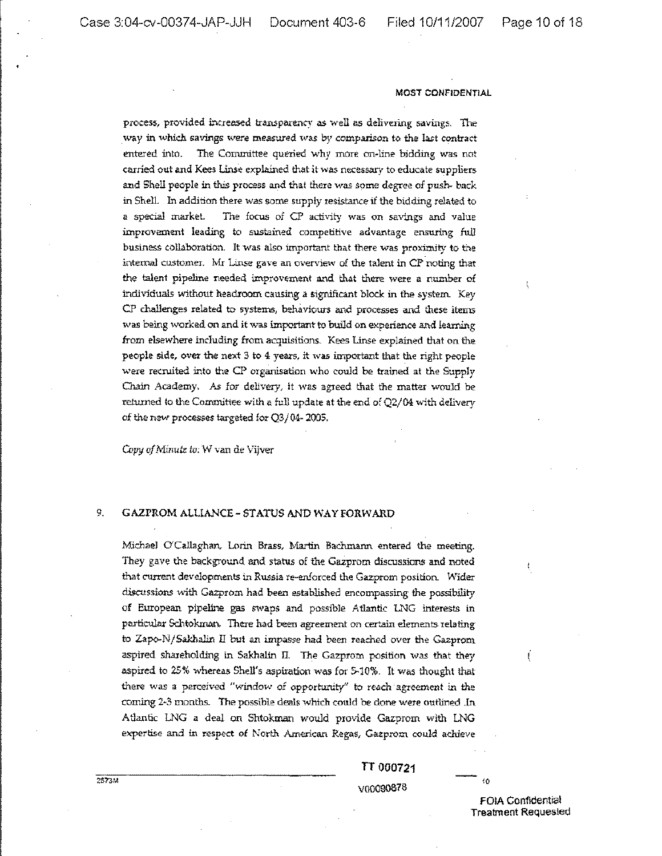process, provided increased transparency as well as delivering savings. The way in which savings were measured was by comparison to the last contract entered into. The Committee queried why more on-line bidding was not carried. out and Kees Linse explained that it was necessary to educate suppliers and Shell people in this process and that there was some degree of push- back in Shell In addition there was some supply resistance if the bidding related to a special market. The focus of CP activity was on savings and value improvement leading to sustained competitive advantage ensuring full business collaboration. It was also important that there was proximity to the internal customer. Mr Linse gave an overview of the talent in CP noting that the talent pipeline needed improvement and that there were a number of individuals without headroom causing a significant block in the system. Key CP challenges related to systems, behaviours and processes and these items was being worked on and it was important to build on experience and learning from elsewhere including from acquisitions. Kees Linse explained that on the: people side, over the next 3 to 4 years, it was important that the right people were recruited into the CP organisation who could be trained at the Supply Chain Academy, As Ior delivery, it was agreed that the matter would be returned to the Committee with a full update at the end of  $Q2/04$  with delivery of the new processes targeted for Q3/04-2005.

*Copy* of Minute to: W van de Vijver

# 9. GAZPROM ALLIANCE - STATUS AND WAY FORWARD

Michael O'Callaghan, Lorin Brass, Martin Bachmann entered the meeting. They gave the background and status of the Gazprom discussions and noted that current developments in Russia re-enforced the Gazprom position. Wider discussions with Gazprom had been established encompassing the possibility of European pipeline gas swaps and possible Atlantic LNG interests in particular Schtokman. There had been agreement on certain elements relating to Zapo-N/Sakhalin II but an impasse had been reached over the Gazprom aspired shareholding in Sakhalin II. The Gazprom position was that they aspired to 25% whereas SheU's aspiration was for 5-10%. It was thought that there was a perceived "window of opportunity" to reach· agreement in the coming 2-3 months. The possible deals which could be done were outlined .In Atlantic LNG a deal on Shtokman would provide Gazprom with LNG expertise and in respect of North American Regas. Gazprom could achieve

> TT 000721 VOOO90878

fOlA Confidential Treatment Requested

10

 $\mathfrak{f}% _{0}$ 

$$
2573\mathrm{M}
$$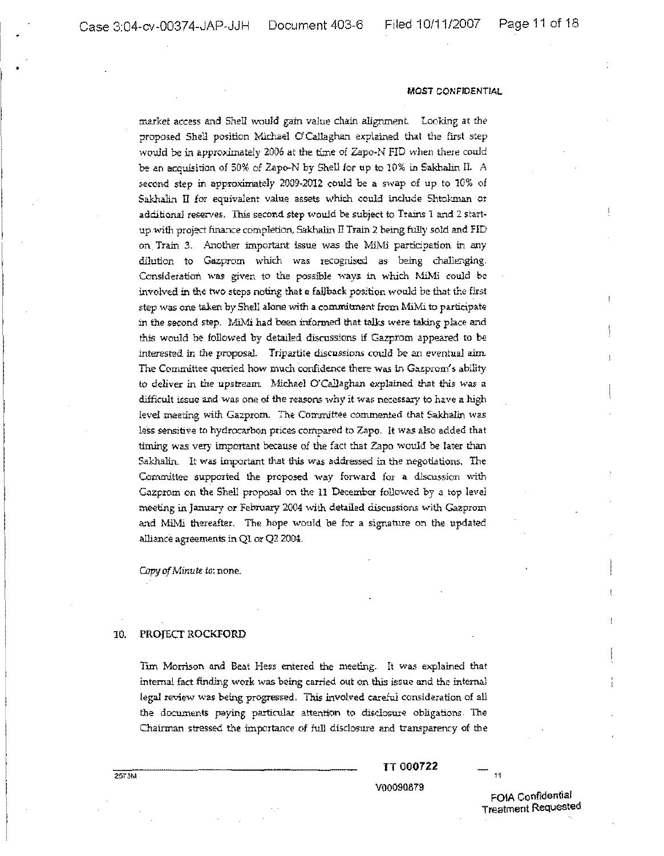market access and Shell would gain value chain alignment Looking at the proposed Shell position Michael O'Callaghan explained that the first step would be in approximately 2006 at the time of Zapo-N FID when there could be an acquisition of 50% of Zapo-N by Shell for up to  $10\%$  in Sakhalin II. A second step in approximately 2009~2012 could be a swap of up to 10% of Sakhalin II for equivalent value assets which could include Shtokman or additional reserves. This second step would be subject to Trains 1 and 2 startup with project finance completion, Sakhalin II Train 2 being fully sold and FID on Train 3. Another important issue was the MiMi participation in any dilution to Gazprom which was recognised as being challenging. Consideration was given to the possible ways in which MiMi could be involved in the two steps noting that a fallback position would be that the first step was one taken by Shell alone with a conunitment from l\1iMi to participate in the second step. MiMi had been informed that talks were taking place and this would be followed by detailed discussions if Gazprom appeared to be interested in the proposal. Tripartite discussions could be an eventual aim. The Committee queried how much confidence there was in Gazprom's ability to deliver in the upstream. Michael O'Callaghan explained that this was a difficult issue and was one of the reasons why it was necessary to have a high level meeting with Gazprom. The Committee commented that Sakhalin was less sensitive to hydrocarbon prices compared to Zapo. It was also added that timing was very important because of the fact that Zapo would be later than Sakhalin. It was important that this was addressed in the negotiations, The Committee supported the proposed way forward for a discussion with Gazprom on the Shell proposal on the 11 December followed by a top level meeting in January or February 2004 \vith detailed discussions with Gazprom and MiMi thereafter. The hope would be for a signature on the updated alliance agreements inQl or Q2 2004.

*OJpyofMinute to:* none.

## 10, PROJECT ROCKFORD

Tim Morrison and Beat Hess entered the meeting. It was explained that internal fact finding work was being carried out on this issue and the internal legal review was being progressed. This involved careful consideration of all the documents paying particular attention to disclosure obligations. The Chairman stressed the importance of full disclosure and transparency of the

TT 000722

V00090879

FOIA confidential Treatment Requested

 $11$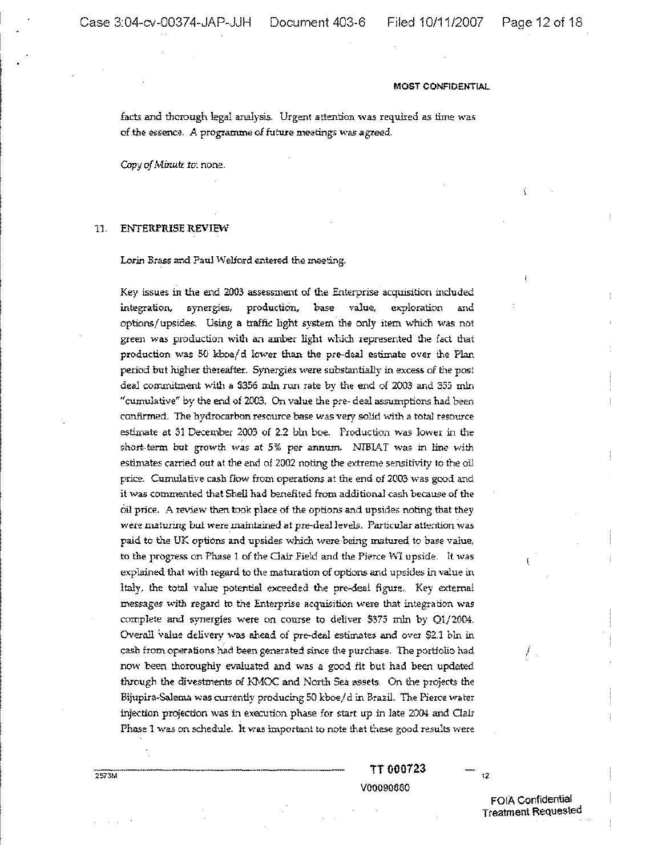facts and thorough legal analysis. Urgent attention was required as time was: of the essence. A programme of future meetings was agreed.

Copy of Minute *to*: none.

#### 11. ENTERPRISE REVIEW

Lorin Brass and Paul Welford entered the meeting.

Key issues in the end 2003 assessment of the Enterprise acquisition included integration, synergies, production, base value, exploration and options/upsides. Using a traffic light system the only item which was not green was production with an amber light which represented the fact that production was 50 kboe/d lower than the pre-deal estimate over the Plan period but higher thereafter. Synergies were substantially in excess of the post deal commitment with a \$356 mln run rate by the end of 2003 and 355 mln "cumulative" by the end of 2003. On value the pre~ deal assumptions had been confirmed. The hydrocarbon resource base was very solid with a total resource estimate at 31 December 2003 of 2.2 bln boe. Production was lower in the short-term but growth was at 5% per annum. NIBIAT was in line with estimates carried out at the end of 2002 noting the extreme sensitivity to the oil price. Cumulative cash flow from operations at the end of 2003 was good and it was commented that Shell had benefited from additional cash because of the oil price. A review then took place of the options and upsides noting that they were maturing but were maintained at pre-deal levels. Particular attention was paid te the UK options and upsides which were being matured to base value, to the progress on Phase 1 of the Clair Field and the Pierce WI upside. It was explained that with regard to the maturation of options and upsides in value in Italy, the total value potential exceeded the pre-deal figure. Key extemal messages with regard to the Enterprise acquisition were that integration was complete and synergies were on course to deliver \$375 m1n by Q1/2004, Overall value delivery was ahead of pre-deal estimates and over \$2.1 bln in cash from operations had been generated since the purchase. The portfolio had now been thoroughly evaluated and was a good fit but had been updated through the divestments of KMOC and North Sea assets. On the projects the Bijupira-Salema was currently producing 50 kboe/d in Brazil. The Pierce water injection projection was in execution phase for start up in late 2004 and Clair Phase 1 was on schedule. It was important to note that these good results were

> TT 000723 VOO090880

> > FOIA Confidential Treatment Requested

 $12$ 

1

257314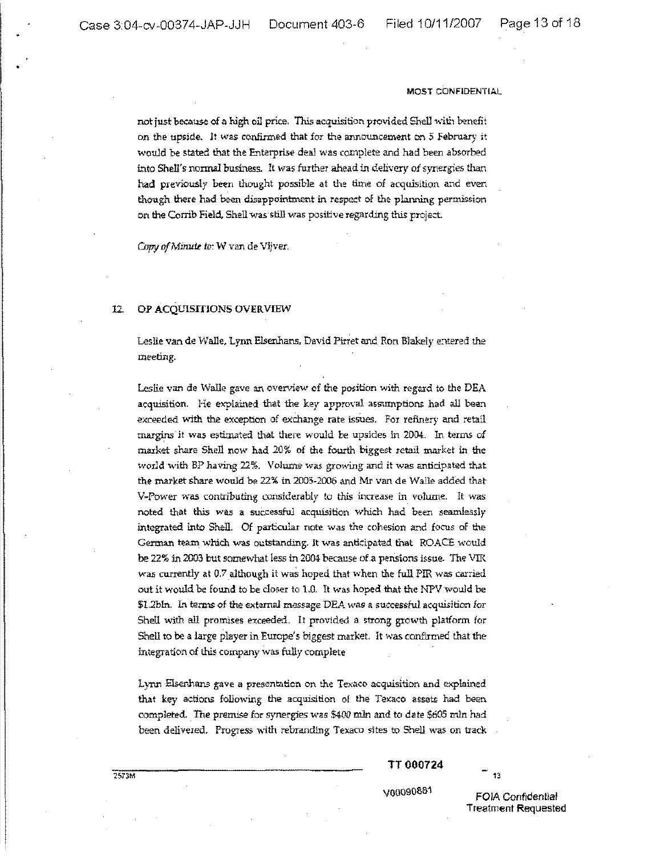•

#### **MOST** CONFIDENTIAL

not just because of a high oil price. This acquisition provided Shell with benefit on the upside. It was confirmed that for the announcement on 5 February it would be stated that the Enterprise deal was complete and had been absorbed into Shell's normal business. It was further ahead in delivery of synergies than had previously been thought possible at the time of acquisition and even though there had been disappointment in respect of the planning permission on the Corrib Field, Shell was still was positive regarding this project.

Copy of Minute to: W van de Vijver.

## 12. OF ACQUISITIONS OVERVIEW

Leslie van de Walle, Lynn Elsenhans, David Pirret and Ron Blakely entered the meeting.

Lestie van de Walle gave an overview of the position with regard to the DEA acquisition. He explained that the key approval assumptions had all been exceeded with the exception of exchange rate issues. For refinery and retail margins it was estimated that there would be upsides in 2004. In terms of market share Shell now had 20% of the fourth biggest retail market in the world with BP having 22%. Volume was growing and it was anticipated that the market share would be 22% in 2005-2006 and Mr van de Walle added that V-Power was contributing considerably to this increase in volume. It was noted that this was a successful acquisition which had been seamlessly integrated into Shell. Of particular note was the cohesion and focus of the German team which was outstanding. It was anticipated that ROACE would be 22% in 2003 but somewhat less in 2004 because of a pensions issue. The VIR was currently at 0.7 although it was hoped that when the full PIR was carried out it would be found to be closer to 1.0. It was hoped that the NPV would be \$1.2bln. In terms of the external message DEA was a successful acquisition for Shell with all promises exceeded. It provided. a strong growth platform for Shell to be a large player in Europe's biggest market. It was confirmed that the integration of this company was fully complete

Lynn Elsenhans gave a presentation on the Texaco acquisition and explained that key actions following the acquisition of the Texaco assets had been completed. The premise for synergies was \$400 mln and to date \$605 mln had been delivered. Progress with rebranding Texaco sites to Shell was on track

TT 000724

13

V00090881 FOIA Confidential Treatment Requested

:ZS13M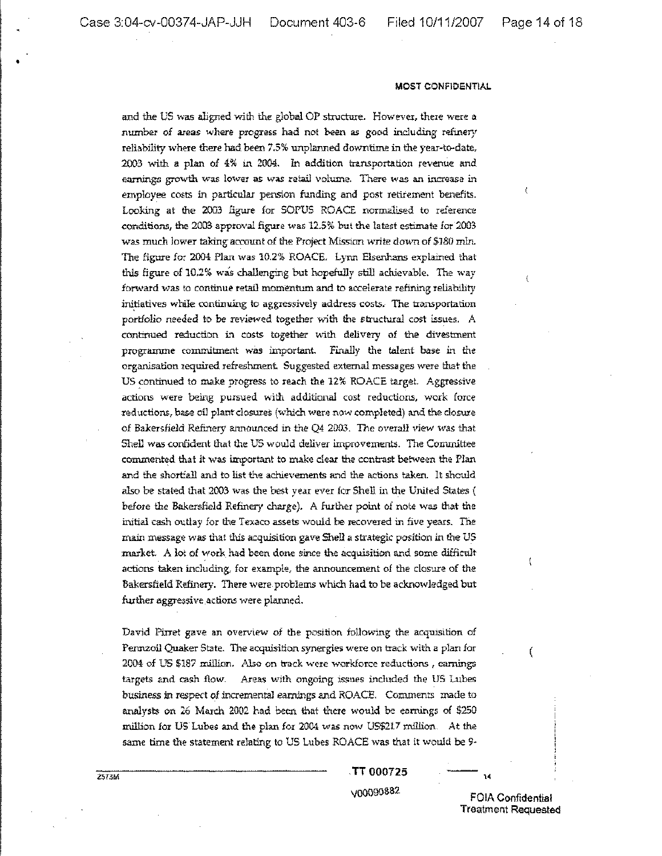•

#### **MOST** CONFIDENTIAL

and the US was aligned with the global OP structure. Howevex, there were a number of areas where progress had not been as good including refinery reliability where there had been 7.5% unplanned downtime in the year-to-date, 2003 with a plan of 4% in 2004. In addition transportation revenue and earnings growth was lower as was retail volume. There was an increase in employee costs in particular pension funding and post retirement benefits. Looking at the 2003 figure for SOPUS ROACE nonnilised to reference conditions, the 2003 approval figure was 12.5% but the latest estimate for 2003. was much lower taking account of the Project Mission write down of \$180 m1n. The figure for 2004 Plan was 10.2% ROACE. Lynn Elsenhans explained that this figure of 10.2% was challenging but hopefully still achievable. The way forward was to continue retail momentum and to accelerate refining reliability initiatives while continuing to aggressively address costs. The transportation portfolio needed to be reviewed together with the structural cost issues. A continued reduction in costs together with delivery of the divestment programme commitment was important. Finally the talent base in the organisation required refreshment Suggested external messages were that the US continued to make progress to reach the 12% ROACE target. Aggressive actions were being pursued with additional cost reductions, work force reductions, base oil plant closures (which were now completed) and the closure of Bakersfield Refinery announced in the Q4 2003. The overall view was that Shell was confident that the US would deliver improvements. The Committee commented that it was important to make clear the contrast between the Plan and the shortfall and to list the achievements and the actions taken. It should also be stated that 2003 was the best year ever for Shell ir, the United States { before the Bakersfield Refinery charge). A further point of note was that the initial cash outlay for the Texaco assets would be recovered in five years. The main message *was* that this acquisition gave Shell a strategic position in the US market. A lot of work had been done since the acquisition and some difficult actions taken including, for example, the announcement of the closure of the Bakersfieid Refinery. There were problems which had to be acknowledged but further aggressive actions were planned.

David Pinet gave an overview of the position following the acquisition of Pennzoil Quaker State. The acquisition synergies were on track with a plan for 2004 of US \$187 million. .Also on track were workforce reductions, earnings targets and cash flow. Areas with ongoing issues included the US Lubes business in respect of incremental earnings and ROACE. Comments made to analysts on 26 March 2002 had been that there would be earnings of \$250 million for US Lubes and the plan for 2004 was now US\$217 million. At the same time the statement relating to US Lubes ROACE was that it would be 9·

TT 000725

VOO090882 FOIA Confidential Treatment Requested

14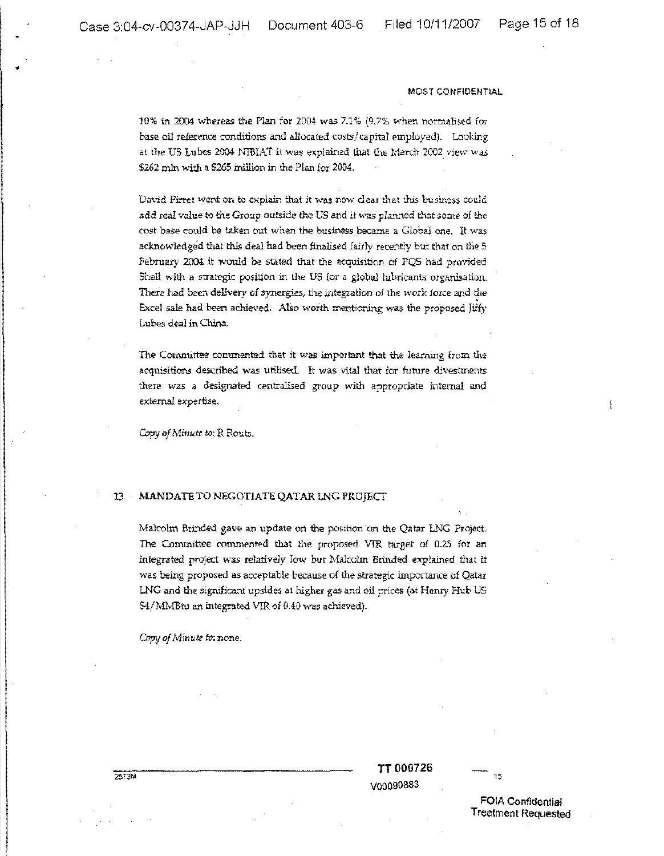•

#### MOST CONFIDENT1AL

10% in 2004 whereas the Plan for 2004 was  $7.1\%$  (9.7% when normalised for base oil reference conditions and allocated costs/capital employed). Looking at the US Lubes 2004 NIBIAT it was explained that the March 2002 view was \$262 mln with a 5265 million in the Plan for 2004.

David Pirret went on to explain that it was now clear that this business could add real value to the Group outside the US and it was planned that some of the cost base could be taken out when the business became a Global one. It was acknowledged that this deal had been finalised fairly recently but that on the 5 February 2004 it would be stated that the acquisition of PQS had provided Shell with a strategic position in the US for a global lubricants organisation. There had been delivery of synergies, the integration of the work force and the Excel sale had been achieved. AlSo worth mentioning was the proposed Jiffy Lubes deal in China.

The Committee commented that it was important that the learning frem the acquisitions described was utilised. It was vital that for future divestments there was a designated centralised group with appropriate internal and external expertise.

*Q.r;r:J of Minute* to; R Routs.

## 13. MANDATE TO NEGOTIATE QATAR LNG PROJECT

Malcolm Brinded gave an update on the position on the Qatar LNG Project. The Committee commented that the proposed VIR target of 0.25 for an integrated prOject was relatively Iow but Ma1colm Brinded explained that it was being proposed as acceptable because of the strategic importance of Qatar LNG and the significant upsides at higher gas and oil prices (at Henry Hub US 54/MMBtu an integrated VIR of 0.40 was achieved).

Copy *ofMinute fo;* none.

TT 000726 V00090883

15

FOIA Confidential Treatment Requested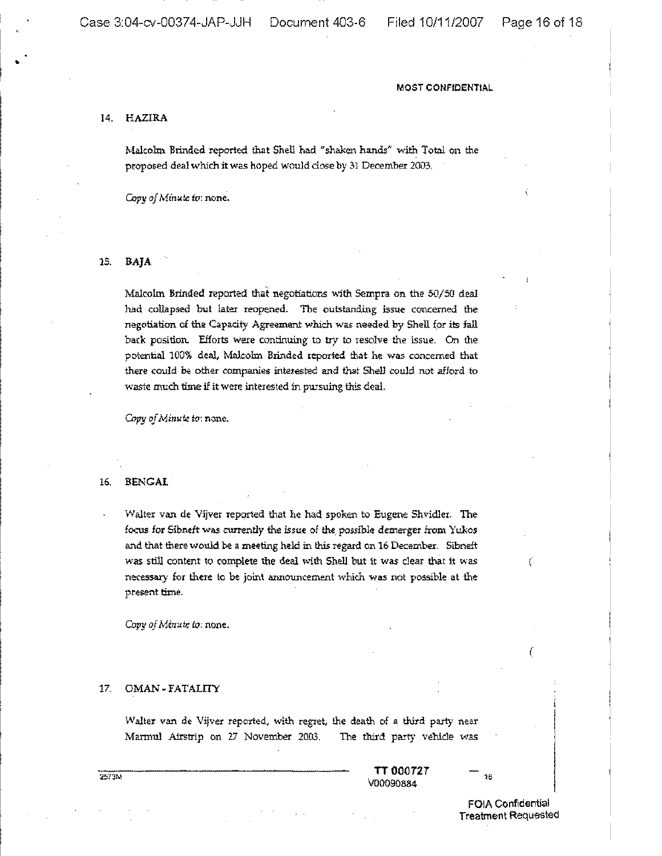## 14. HAZlRA

•

Malcolm Brinded reported that Shell had "shaken hands" with Total on the proposed deal which itwas hoped would dose by 31 December 2003.

Copy of Minute to: none.

#### 15. BAjA

Malcolm Brinded reported that negotiations with Sempra on the  $50/50$  deal had collapsed but later reopened. The outstanding issue concerned the negotiation of the Capacity Agreement which was needed by Shell (or its fall back position. Efforts were continuing to try to resolve the issue. On the potential 100% deal, Malcolm Brinded reported that he was concerned that there could be other companies interested and that Shell could not afford to waste much time if it were interested in pursuing this deaL

*Copy of Minute to:* none.

## 16. BENGAL

Walter van de Vijver reported that he had spoken to Eugene Shvidler. The focus for Sibneft was currently the issue of the possible demerger from Yukos and that there would. be a meeting held in this regard on 16 December. 5ibneft was still content to complete the deal with Shell but it was clear that it was necessary for there to be joint announcement which was not possible at the present time.

Copy *ofMinute* to: none.

## *IT* OMAN -FATALITY

Walter van de Vijver reported, with regret, the death of a third party near Marmul Airstrip on 27 November 2003. The third party vehicle was

> TT 000727  $V00090884$   $^{16}$

> > FOIA COnfidential Treatment Requested

{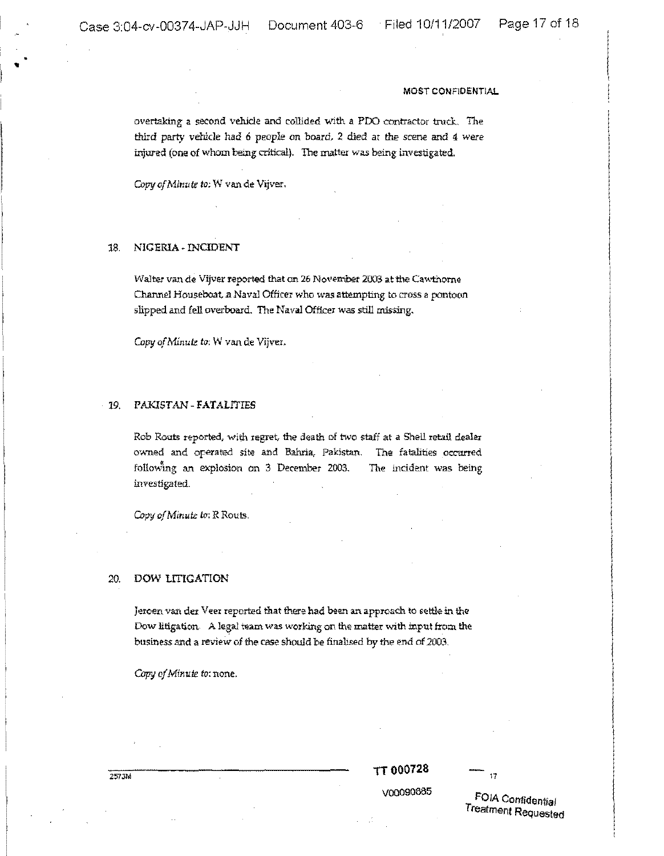• •

## MOST CONFIDENTIAL

overtaking a second vehicle and collided with a PDO contractor truck. The third party vehicle had 6 people on board, 2 died at the *scene* and 4 *were* injured (one of whom being critical). The matter was being investigated.

Copy of Minute to: W van de Vijver.

# 18. NIGERIA - INCIDENT

Walter van de Vijver reported that on 26 November 2003 at the Cawthorne Channel Houseboat.a Naval Officer who was attempting to cross a pontoon slipped and fell overboard. The Naval Officer was still missing.

Copy of Minute to: W van de Vijver.

## 19. PAKlSTAN~FATALITIES

Rob Routs reported, with regret, the death of two staff at a Shell retail dealer owned and operated site and Bahria, Pakistan. The fatalities occurred following an explosion on 3 December 2003. The incident was being investigated.

Copy of Minute to: R Routs.

## 20. DOW LITIGATION

Jeroen van der Veer reported that there had been an approach to settle in the Dow litigation. A legal team was working on the matter with input from the business and a review of the case should be finalised by the end of 2003.

*CapyofMinute to:* none.

TT 000728

 $17$ 

VOO090885

FOIA COnfidential Treatment Requested